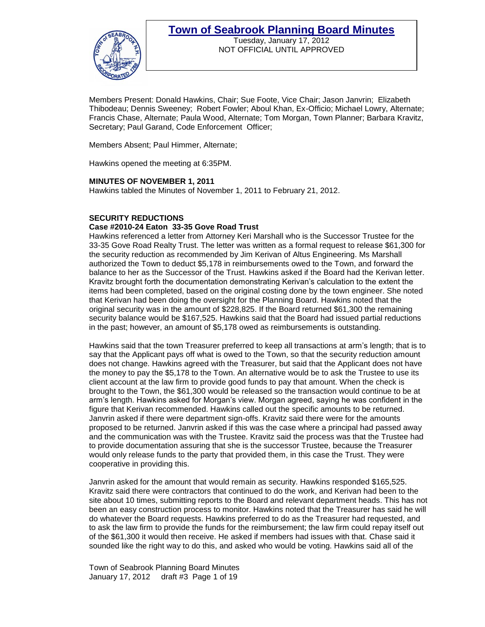

Tuesday, January 17, 2012 NOT OFFICIAL UNTIL APPROVED

Members Present: Donald Hawkins, Chair; Sue Foote, Vice Chair; Jason Janvrin; Elizabeth Thibodeau; Dennis Sweeney; Robert Fowler; Aboul Khan, Ex-Officio; Michael Lowry, Alternate; Francis Chase, Alternate; Paula Wood, Alternate; Tom Morgan, Town Planner; Barbara Kravitz, Secretary; Paul Garand, Code Enforcement Officer;

Members Absent; Paul Himmer, Alternate;

Hawkins opened the meeting at 6:35PM.

#### **MINUTES OF NOVEMBER 1, 2011**

Hawkins tabled the Minutes of November 1, 2011 to February 21, 2012.

#### **SECURITY REDUCTIONS**

#### **Case #2010-24 Eaton 33-35 Gove Road Trust**

Hawkins referenced a letter from Attorney Keri Marshall who is the Successor Trustee for the 33-35 Gove Road Realty Trust. The letter was written as a formal request to release \$61,300 for the security reduction as recommended by Jim Kerivan of Altus Engineering. Ms Marshall authorized the Town to deduct \$5,178 in reimbursements owed to the Town, and forward the balance to her as the Successor of the Trust. Hawkins asked if the Board had the Kerivan letter. Kravitz brought forth the documentation demonstrating Kerivan's calculation to the extent the items had been completed, based on the original costing done by the town engineer. She noted that Kerivan had been doing the oversight for the Planning Board. Hawkins noted that the original security was in the amount of \$228,825. If the Board returned \$61,300 the remaining security balance would be \$167,525. Hawkins said that the Board had issued partial reductions in the past; however, an amount of \$5,178 owed as reimbursements is outstanding.

Hawkins said that the town Treasurer preferred to keep all transactions at arm's length; that is to say that the Applicant pays off what is owed to the Town, so that the security reduction amount does not change. Hawkins agreed with the Treasurer, but said that the Applicant does not have the money to pay the \$5,178 to the Town. An alternative would be to ask the Trustee to use its client account at the law firm to provide good funds to pay that amount. When the check is brought to the Town, the \$61,300 would be released so the transaction would continue to be at arm's length. Hawkins asked for Morgan's view. Morgan agreed, saying he was confident in the figure that Kerivan recommended. Hawkins called out the specific amounts to be returned. Janvrin asked if there were department sign-offs. Kravitz said there were for the amounts proposed to be returned. Janvrin asked if this was the case where a principal had passed away and the communication was with the Trustee. Kravitz said the process was that the Trustee had to provide documentation assuring that she is the successor Trustee, because the Treasurer would only release funds to the party that provided them, in this case the Trust. They were cooperative in providing this.

Janvrin asked for the amount that would remain as security. Hawkins responded \$165,525. Kravitz said there were contractors that continued to do the work, and Kerivan had been to the site about 10 times, submitting reports to the Board and relevant department heads. This has not been an easy construction process to monitor. Hawkins noted that the Treasurer has said he will do whatever the Board requests. Hawkins preferred to do as the Treasurer had requested, and to ask the law firm to provide the funds for the reimbursement; the law firm could repay itself out of the \$61,300 it would then receive. He asked if members had issues with that. Chase said it sounded like the right way to do this, and asked who would be voting. Hawkins said all of the

Town of Seabrook Planning Board Minutes January 17, 2012 draft #3 Page 1 of 19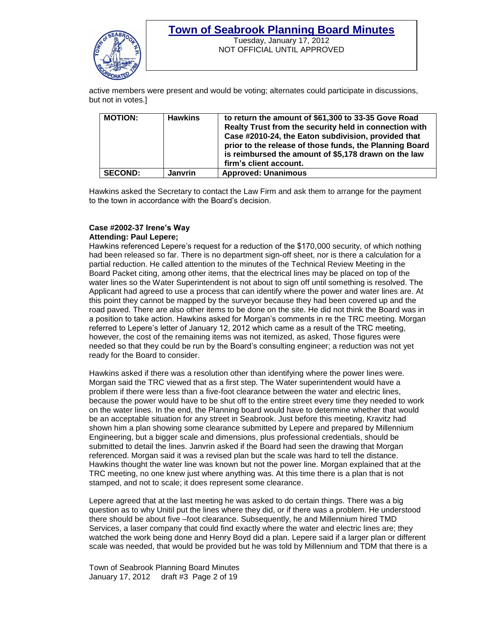

Tuesday, January 17, 2012 NOT OFFICIAL UNTIL APPROVED

active members were present and would be voting; alternates could participate in discussions, but not in votes.]

| <b>MOTION:</b> | <b>Hawkins</b> | to return the amount of \$61,300 to 33-35 Gove Road<br>Realty Trust from the security held in connection with<br>Case #2010-24, the Eaton subdivision, provided that<br>prior to the release of those funds, the Planning Board<br>is reimbursed the amount of \$5,178 drawn on the law<br>firm's client account. |
|----------------|----------------|-------------------------------------------------------------------------------------------------------------------------------------------------------------------------------------------------------------------------------------------------------------------------------------------------------------------|
| <b>SECOND:</b> | <b>Janvrin</b> | <b>Approved: Unanimous</b>                                                                                                                                                                                                                                                                                        |

Hawkins asked the Secretary to contact the Law Firm and ask them to arrange for the payment to the town in accordance with the Board's decision.

#### **Case #2002-37 Irene's Way Attending: Paul Lepere;**

Hawkins referenced Lepere's request for a reduction of the \$170,000 security, of which nothing had been released so far. There is no department sign-off sheet, nor is there a calculation for a partial reduction. He called attention to the minutes of the Technical Review Meeting in the Board Packet citing, among other items, that the electrical lines may be placed on top of the water lines so the Water Superintendent is not about to sign off until something is resolved. The Applicant had agreed to use a process that can identify where the power and water lines are. At this point they cannot be mapped by the surveyor because they had been covered up and the road paved. There are also other items to be done on the site. He did not think the Board was in a position to take action. Hawkins asked for Morgan's comments in re the TRC meeting. Morgan referred to Lepere's letter of January 12, 2012 which came as a result of the TRC meeting, however, the cost of the remaining items was not itemized, as asked, Those figures were needed so that they could be run by the Board's consulting engineer; a reduction was not yet ready for the Board to consider.

Hawkins asked if there was a resolution other than identifying where the power lines were. Morgan said the TRC viewed that as a first step. The Water superintendent would have a problem if there were less than a five-foot clearance between the water and electric lines, because the power would have to be shut off to the entire street every time they needed to work on the water lines. In the end, the Planning board would have to determine whether that would be an acceptable situation for any street in Seabrook. Just before this meeting, Kravitz had shown him a plan showing some clearance submitted by Lepere and prepared by Millennium Engineering, but a bigger scale and dimensions, plus professional credentials, should be submitted to detail the lines. Janvrin asked if the Board had seen the drawing that Morgan referenced. Morgan said it was a revised plan but the scale was hard to tell the distance. Hawkins thought the water line was known but not the power line. Morgan explained that at the TRC meeting, no one knew just where anything was. At this time there is a plan that is not stamped, and not to scale; it does represent some clearance.

Lepere agreed that at the last meeting he was asked to do certain things. There was a big question as to why Unitil put the lines where they did, or if there was a problem. He understood there should be about five –foot clearance. Subsequently, he and Millennium hired TMD Services, a laser company that could find exactly where the water and electric lines are; they watched the work being done and Henry Boyd did a plan. Lepere said if a larger plan or different scale was needed, that would be provided but he was told by Millennium and TDM that there is a

Town of Seabrook Planning Board Minutes January 17, 2012 draft #3 Page 2 of 19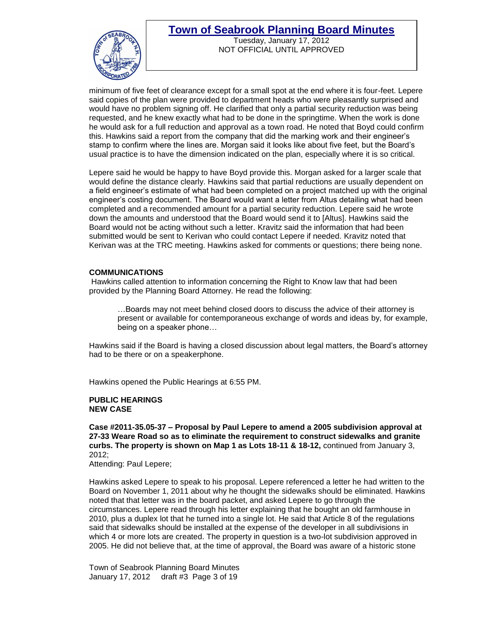

Tuesday, January 17, 2012 NOT OFFICIAL UNTIL APPROVED

minimum of five feet of clearance except for a small spot at the end where it is four-feet. Lepere said copies of the plan were provided to department heads who were pleasantly surprised and would have no problem signing off. He clarified that only a partial security reduction was being requested, and he knew exactly what had to be done in the springtime. When the work is done he would ask for a full reduction and approval as a town road. He noted that Boyd could confirm this. Hawkins said a report from the company that did the marking work and their engineer's stamp to confirm where the lines are. Morgan said it looks like about five feet, but the Board's usual practice is to have the dimension indicated on the plan, especially where it is so critical.

Lepere said he would be happy to have Boyd provide this. Morgan asked for a larger scale that would define the distance clearly. Hawkins said that partial reductions are usually dependent on a field engineer's estimate of what had been completed on a project matched up with the original engineer's costing document. The Board would want a letter from Altus detailing what had been completed and a recommended amount for a partial security reduction. Lepere said he wrote down the amounts and understood that the Board would send it to [Altus]. Hawkins said the Board would not be acting without such a letter. Kravitz said the information that had been submitted would be sent to Kerivan who could contact Lepere if needed. Kravitz noted that Kerivan was at the TRC meeting. Hawkins asked for comments or questions; there being none.

#### **COMMUNICATIONS**

Hawkins called attention to information concerning the Right to Know law that had been provided by the Planning Board Attorney. He read the following:

…Boards may not meet behind closed doors to discuss the advice of their attorney is present or available for contemporaneous exchange of words and ideas by, for example, being on a speaker phone…

Hawkins said if the Board is having a closed discussion about legal matters, the Board's attorney had to be there or on a speakerphone.

Hawkins opened the Public Hearings at 6:55 PM.

#### **PUBLIC HEARINGS NEW CASE**

**Case #2011-35.05-37 – Proposal by Paul Lepere to amend a 2005 subdivision approval at 27-33 Weare Road so as to eliminate the requirement to construct sidewalks and granite curbs. The property is shown on Map 1 as Lots 18-11 & 18-12,** continued from January 3, 2012;

Attending: Paul Lepere;

Hawkins asked Lepere to speak to his proposal. Lepere referenced a letter he had written to the Board on November 1, 2011 about why he thought the sidewalks should be eliminated. Hawkins noted that that letter was in the board packet, and asked Lepere to go through the circumstances. Lepere read through his letter explaining that he bought an old farmhouse in 2010, plus a duplex lot that he turned into a single lot. He said that Article 8 of the regulations said that sidewalks should be installed at the expense of the developer in all subdivisions in which 4 or more lots are created. The property in question is a two-lot subdivision approved in 2005. He did not believe that, at the time of approval, the Board was aware of a historic stone

Town of Seabrook Planning Board Minutes January 17, 2012 draft #3 Page 3 of 19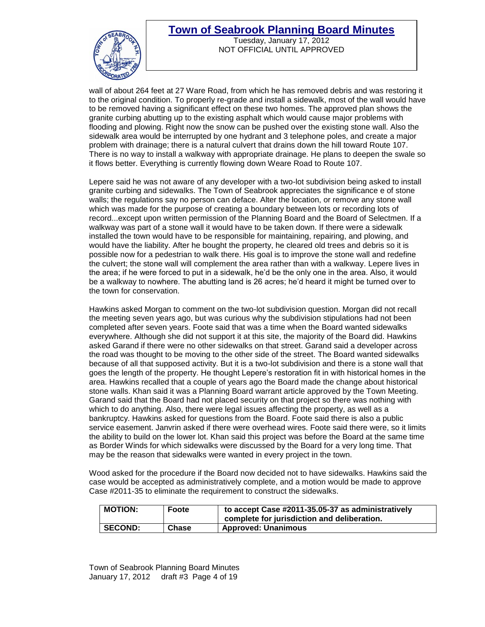

Tuesday, January 17, 2012 NOT OFFICIAL UNTIL APPROVED

wall of about 264 feet at 27 Ware Road, from which he has removed debris and was restoring it to the original condition. To properly re-grade and install a sidewalk, most of the wall would have to be removed having a significant effect on these two homes. The approved plan shows the granite curbing abutting up to the existing asphalt which would cause major problems with flooding and plowing. Right now the snow can be pushed over the existing stone wall. Also the sidewalk area would be interrupted by one hydrant and 3 telephone poles, and create a major problem with drainage; there is a natural culvert that drains down the hill toward Route 107. There is no way to install a walkway with appropriate drainage. He plans to deepen the swale so it flows better. Everything is currently flowing down Weare Road to Route 107.

Lepere said he was not aware of any developer with a two-lot subdivision being asked to install granite curbing and sidewalks. The Town of Seabrook appreciates the significance e of stone walls; the regulations say no person can deface. Alter the location, or remove any stone wall which was made for the purpose of creating a boundary between lots or recording lots of record...except upon written permission of the Planning Board and the Board of Selectmen. If a walkway was part of a stone wall it would have to be taken down. If there were a sidewalk installed the town would have to be responsible for maintaining, repairing, and plowing, and would have the liability. After he bought the property, he cleared old trees and debris so it is possible now for a pedestrian to walk there. His goal is to improve the stone wall and redefine the culvert; the stone wall will complement the area rather than with a walkway. Lepere lives in the area; if he were forced to put in a sidewalk, he'd be the only one in the area. Also, it would be a walkway to nowhere. The abutting land is 26 acres; he'd heard it might be turned over to the town for conservation.

Hawkins asked Morgan to comment on the two-lot subdivision question. Morgan did not recall the meeting seven years ago, but was curious why the subdivision stipulations had not been completed after seven years. Foote said that was a time when the Board wanted sidewalks everywhere. Although she did not support it at this site, the majority of the Board did. Hawkins asked Garand if there were no other sidewalks on that street. Garand said a developer across the road was thought to be moving to the other side of the street. The Board wanted sidewalks because of all that supposed activity. But it is a two-lot subdivision and there is a stone wall that goes the length of the property. He thought Lepere's restoration fit in with historical homes in the area. Hawkins recalled that a couple of years ago the Board made the change about historical stone walls. Khan said it was a Planning Board warrant article approved by the Town Meeting. Garand said that the Board had not placed security on that project so there was nothing with which to do anything. Also, there were legal issues affecting the property, as well as a bankruptcy. Hawkins asked for questions from the Board. Foote said there is also a public service easement. Janvrin asked if there were overhead wires. Foote said there were, so it limits the ability to build on the lower lot. Khan said this project was before the Board at the same time as Border Winds for which sidewalks were discussed by the Board for a very long time. That may be the reason that sidewalks were wanted in every project in the town.

Wood asked for the procedure if the Board now decided not to have sidewalks. Hawkins said the case would be accepted as administratively complete, and a motion would be made to approve Case #2011-35 to eliminate the requirement to construct the sidewalks.

| <b>MOTION:</b> | Foote | to accept Case #2011-35.05-37 as administratively<br>complete for jurisdiction and deliberation. |
|----------------|-------|--------------------------------------------------------------------------------------------------|
| <b>SECOND:</b> | Chase | <b>Approved: Unanimous</b>                                                                       |

Town of Seabrook Planning Board Minutes January 17, 2012 draft #3 Page 4 of 19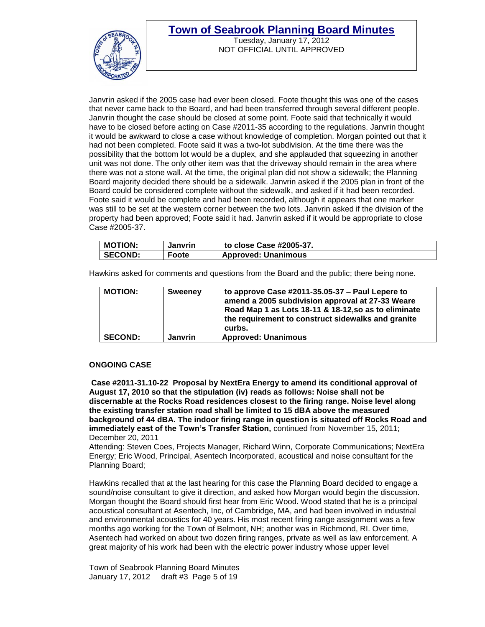

Tuesday, January 17, 2012 NOT OFFICIAL UNTIL APPROVED

Janvrin asked if the 2005 case had ever been closed. Foote thought this was one of the cases that never came back to the Board, and had been transferred through several different people. Janvrin thought the case should be closed at some point. Foote said that technically it would have to be closed before acting on Case #2011-35 according to the regulations. Janvrin thought it would be awkward to close a case without knowledge of completion. Morgan pointed out that it had not been completed. Foote said it was a two-lot subdivision. At the time there was the possibility that the bottom lot would be a duplex, and she applauded that squeezing in another unit was not done. The only other item was that the driveway should remain in the area where there was not a stone wall. At the time, the original plan did not show a sidewalk; the Planning Board majority decided there should be a sidewalk. Janvrin asked if the 2005 plan in front of the Board could be considered complete without the sidewalk, and asked if it had been recorded. Foote said it would be complete and had been recorded, although it appears that one marker was still to be set at the western corner between the two lots. Janvrin asked if the division of the property had been approved; Foote said it had. Janvrin asked if it would be appropriate to close Case #2005-37.

| <b>MOTION:</b> | Janvrin | to close Case #2005-37.    |
|----------------|---------|----------------------------|
| <b>SECOND:</b> | Foote   | <b>Approved: Unanimous</b> |

Hawkins asked for comments and questions from the Board and the public; there being none.

| <b>MOTION:</b> | <b>Sweeney</b> | to approve Case $\#2011-35.05-37$ – Paul Lepere to<br>amend a 2005 subdivision approval at 27-33 Weare<br>Road Map 1 as Lots 18-11 & 18-12, so as to eliminate<br>the requirement to construct sidewalks and granite<br>curbs. |
|----------------|----------------|--------------------------------------------------------------------------------------------------------------------------------------------------------------------------------------------------------------------------------|
| <b>SECOND:</b> | <b>Janvrin</b> | <b>Approved: Unanimous</b>                                                                                                                                                                                                     |

#### **ONGOING CASE**

**Case #2011-31.10-22 Proposal by NextEra Energy to amend its conditional approval of August 17, 2010 so that the stipulation (iv) reads as follows: Noise shall not be discernable at the Rocks Road residences closest to the firing range. Noise level along the existing transfer station road shall be limited to 15 dBA above the measured background of 44 dBA. The indoor firing range in question is situated off Rocks Road and immediately east of the Town's Transfer Station,** continued from November 15, 2011; December 20, 2011

Attending: Steven Coes, Projects Manager, Richard Winn, Corporate Communications; NextEra Energy; Eric Wood, Principal, Asentech Incorporated, acoustical and noise consultant for the Planning Board;

Hawkins recalled that at the last hearing for this case the Planning Board decided to engage a sound/noise consultant to give it direction, and asked how Morgan would begin the discussion. Morgan thought the Board should first hear from Eric Wood. Wood stated that he is a principal acoustical consultant at Asentech, Inc, of Cambridge, MA, and had been involved in industrial and environmental acoustics for 40 years. His most recent firing range assignment was a few months ago working for the Town of Belmont, NH; another was in Richmond, RI. Over time, Asentech had worked on about two dozen firing ranges, private as well as law enforcement. A great majority of his work had been with the electric power industry whose upper level

Town of Seabrook Planning Board Minutes January 17, 2012 draft #3 Page 5 of 19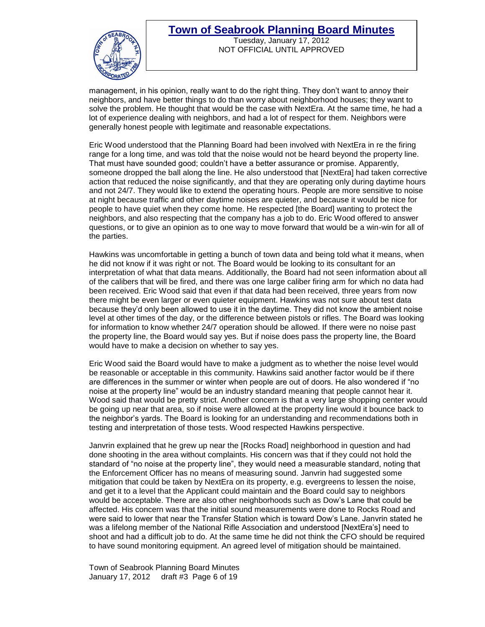

Tuesday, January 17, 2012 NOT OFFICIAL UNTIL APPROVED

management, in his opinion, really want to do the right thing. They don't want to annoy their neighbors, and have better things to do than worry about neighborhood houses; they want to solve the problem. He thought that would be the case with NextEra. At the same time, he had a lot of experience dealing with neighbors, and had a lot of respect for them. Neighbors were generally honest people with legitimate and reasonable expectations.

Eric Wood understood that the Planning Board had been involved with NextEra in re the firing range for a long time, and was told that the noise would not be heard beyond the property line. That must have sounded good; couldn't have a better assurance or promise. Apparently, someone dropped the ball along the line. He also understood that [NextEra] had taken corrective action that reduced the noise significantly, and that they are operating only during daytime hours and not 24/7. They would like to extend the operating hours. People are more sensitive to noise at night because traffic and other daytime noises are quieter, and because it would be nice for people to have quiet when they come home. He respected [the Board] wanting to protect the neighbors, and also respecting that the company has a job to do. Eric Wood offered to answer questions, or to give an opinion as to one way to move forward that would be a win-win for all of the parties.

Hawkins was uncomfortable in getting a bunch of town data and being told what it means, when he did not know if it was right or not. The Board would be looking to its consultant for an interpretation of what that data means. Additionally, the Board had not seen information about all of the calibers that will be fired, and there was one large caliber firing arm for which no data had been received. Eric Wood said that even if that data had been received, three years from now there might be even larger or even quieter equipment. Hawkins was not sure about test data because they'd only been allowed to use it in the daytime. They did not know the ambient noise level at other times of the day, or the difference between pistols or rifles. The Board was looking for information to know whether 24/7 operation should be allowed. If there were no noise past the property line, the Board would say yes. But if noise does pass the property line, the Board would have to make a decision on whether to say yes.

Eric Wood said the Board would have to make a judgment as to whether the noise level would be reasonable or acceptable in this community. Hawkins said another factor would be if there are differences in the summer or winter when people are out of doors. He also wondered if "no noise at the property line" would be an industry standard meaning that people cannot hear it. Wood said that would be pretty strict. Another concern is that a very large shopping center would be going up near that area, so if noise were allowed at the property line would it bounce back to the neighbor's yards. The Board is looking for an understanding and recommendations both in testing and interpretation of those tests. Wood respected Hawkins perspective.

Janvrin explained that he grew up near the [Rocks Road] neighborhood in question and had done shooting in the area without complaints. His concern was that if they could not hold the standard of "no noise at the property line", they would need a measurable standard, noting that the Enforcement Officer has no means of measuring sound. Janvrin had suggested some mitigation that could be taken by NextEra on its property, e.g. evergreens to lessen the noise, and get it to a level that the Applicant could maintain and the Board could say to neighbors would be acceptable. There are also other neighborhoods such as Dow's Lane that could be affected. His concern was that the initial sound measurements were done to Rocks Road and were said to lower that near the Transfer Station which is toward Dow's Lane. Janvrin stated he was a lifelong member of the National Rifle Association and understood [NextEra's] need to shoot and had a difficult job to do. At the same time he did not think the CFO should be required to have sound monitoring equipment. An agreed level of mitigation should be maintained.

Town of Seabrook Planning Board Minutes January 17, 2012 draft #3 Page 6 of 19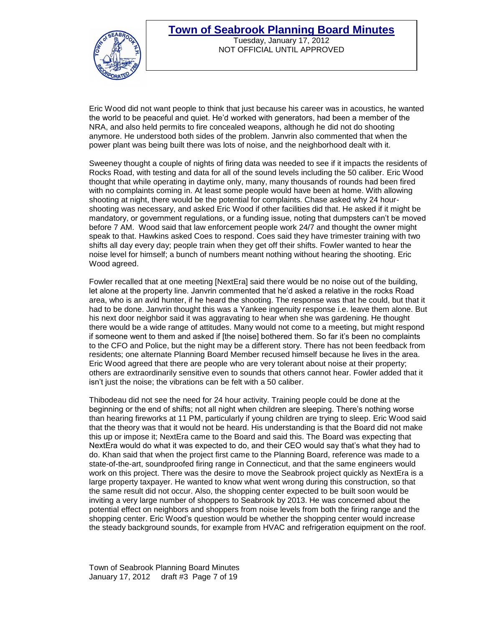

Tuesday, January 17, 2012 NOT OFFICIAL UNTIL APPROVED

Eric Wood did not want people to think that just because his career was in acoustics, he wanted the world to be peaceful and quiet. He'd worked with generators, had been a member of the NRA, and also held permits to fire concealed weapons, although he did not do shooting anymore. He understood both sides of the problem. Janvrin also commented that when the power plant was being built there was lots of noise, and the neighborhood dealt with it.

Sweeney thought a couple of nights of firing data was needed to see if it impacts the residents of Rocks Road, with testing and data for all of the sound levels including the 50 caliber. Eric Wood thought that while operating in daytime only, many, many thousands of rounds had been fired with no complaints coming in. At least some people would have been at home. With allowing shooting at night, there would be the potential for complaints. Chase asked why 24 hourshooting was necessary, and asked Eric Wood if other facilities did that. He asked if it might be mandatory, or government regulations, or a funding issue, noting that dumpsters can't be moved before 7 AM. Wood said that law enforcement people work 24/7 and thought the owner might speak to that. Hawkins asked Coes to respond. Coes said they have trimester training with two shifts all day every day; people train when they get off their shifts. Fowler wanted to hear the noise level for himself; a bunch of numbers meant nothing without hearing the shooting. Eric Wood agreed.

Fowler recalled that at one meeting [NextEra] said there would be no noise out of the building, let alone at the property line. Janvrin commented that he'd asked a relative in the rocks Road area, who is an avid hunter, if he heard the shooting. The response was that he could, but that it had to be done. Janvrin thought this was a Yankee ingenuity response i.e. leave them alone. But his next door neighbor said it was aggravating to hear when she was gardening. He thought there would be a wide range of attitudes. Many would not come to a meeting, but might respond if someone went to them and asked if [the noise] bothered them. So far it's been no complaints to the CFO and Police, but the night may be a different story. There has not been feedback from residents; one alternate Planning Board Member recused himself because he lives in the area. Eric Wood agreed that there are people who are very tolerant about noise at their property; others are extraordinarily sensitive even to sounds that others cannot hear. Fowler added that it isn't just the noise; the vibrations can be felt with a 50 caliber.

Thibodeau did not see the need for 24 hour activity. Training people could be done at the beginning or the end of shifts; not all night when children are sleeping. There's nothing worse than hearing fireworks at 11 PM, particularly if young children are trying to sleep. Eric Wood said that the theory was that it would not be heard. His understanding is that the Board did not make this up or impose it; NextEra came to the Board and said this. The Board was expecting that NextEra would do what it was expected to do, and their CEO would say that's what they had to do. Khan said that when the project first came to the Planning Board, reference was made to a state-of-the-art, soundproofed firing range in Connecticut, and that the same engineers would work on this project. There was the desire to move the Seabrook project quickly as NextEra is a large property taxpayer. He wanted to know what went wrong during this construction, so that the same result did not occur. Also, the shopping center expected to be built soon would be inviting a very large number of shoppers to Seabrook by 2013. He was concerned about the potential effect on neighbors and shoppers from noise levels from both the firing range and the shopping center. Eric Wood's question would be whether the shopping center would increase the steady background sounds, for example from HVAC and refrigeration equipment on the roof.

Town of Seabrook Planning Board Minutes January 17, 2012 draft #3 Page 7 of 19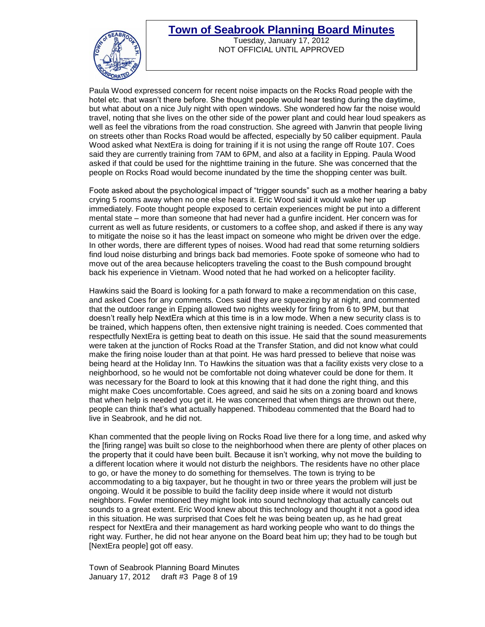

Tuesday, January 17, 2012 NOT OFFICIAL UNTIL APPROVED

Paula Wood expressed concern for recent noise impacts on the Rocks Road people with the hotel etc. that wasn't there before. She thought people would hear testing during the daytime, but what about on a nice July night with open windows. She wondered how far the noise would travel, noting that she lives on the other side of the power plant and could hear loud speakers as well as feel the vibrations from the road construction. She agreed with Janvrin that people living on streets other than Rocks Road would be affected, especially by 50 caliber equipment. Paula Wood asked what NextEra is doing for training if it is not using the range off Route 107. Coes said they are currently training from 7AM to 6PM, and also at a facility in Epping. Paula Wood asked if that could be used for the nighttime training in the future. She was concerned that the people on Rocks Road would become inundated by the time the shopping center was built.

Foote asked about the psychological impact of "trigger sounds" such as a mother hearing a baby crying 5 rooms away when no one else hears it. Eric Wood said it would wake her up immediately. Foote thought people exposed to certain experiences might be put into a different mental state – more than someone that had never had a gunfire incident. Her concern was for current as well as future residents, or customers to a coffee shop, and asked if there is any way to mitigate the noise so it has the least impact on someone who might be driven over the edge. In other words, there are different types of noises. Wood had read that some returning soldiers find loud noise disturbing and brings back bad memories. Foote spoke of someone who had to move out of the area because helicopters traveling the coast to the Bush compound brought back his experience in Vietnam. Wood noted that he had worked on a helicopter facility.

Hawkins said the Board is looking for a path forward to make a recommendation on this case, and asked Coes for any comments. Coes said they are squeezing by at night, and commented that the outdoor range in Epping allowed two nights weekly for firing from 6 to 9PM, but that doesn't really help NextEra which at this time is in a low mode. When a new security class is to be trained, which happens often, then extensive night training is needed. Coes commented that respectfully NextEra is getting beat to death on this issue. He said that the sound measurements were taken at the junction of Rocks Road at the Transfer Station, and did not know what could make the firing noise louder than at that point. He was hard pressed to believe that noise was being heard at the Holiday Inn. To Hawkins the situation was that a facility exists very close to a neighborhood, so he would not be comfortable not doing whatever could be done for them. It was necessary for the Board to look at this knowing that it had done the right thing, and this might make Coes uncomfortable. Coes agreed, and said he sits on a zoning board and knows that when help is needed you get it. He was concerned that when things are thrown out there, people can think that's what actually happened. Thibodeau commented that the Board had to live in Seabrook, and he did not.

Khan commented that the people living on Rocks Road live there for a long time, and asked why the [firing range] was built so close to the neighborhood when there are plenty of other places on the property that it could have been built. Because it isn't working, why not move the building to a different location where it would not disturb the neighbors. The residents have no other place to go, or have the money to do something for themselves. The town is trying to be accommodating to a big taxpayer, but he thought in two or three years the problem will just be ongoing. Would it be possible to build the facility deep inside where it would not disturb neighbors. Fowler mentioned they might look into sound technology that actually cancels out sounds to a great extent. Eric Wood knew about this technology and thought it not a good idea in this situation. He was surprised that Coes felt he was being beaten up, as he had great respect for NextEra and their management as hard working people who want to do things the right way. Further, he did not hear anyone on the Board beat him up; they had to be tough but [NextEra people] got off easy.

Town of Seabrook Planning Board Minutes January 17, 2012 draft #3 Page 8 of 19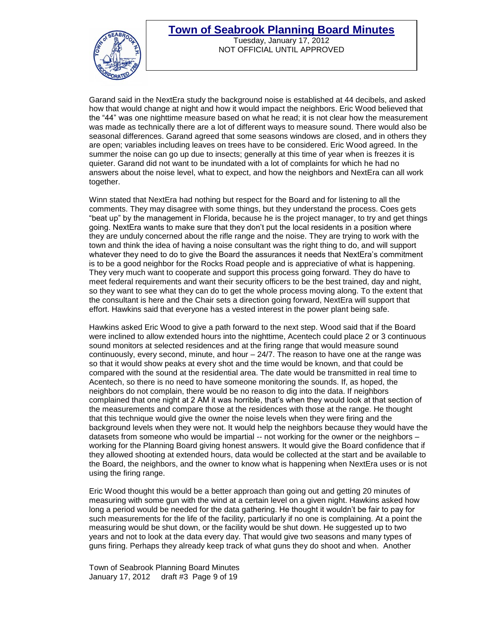

Tuesday, January 17, 2012 NOT OFFICIAL UNTIL APPROVED

Garand said in the NextEra study the background noise is established at 44 decibels, and asked how that would change at night and how it would impact the neighbors. Eric Wood believed that the "44" was one nighttime measure based on what he read; it is not clear how the measurement was made as technically there are a lot of different ways to measure sound. There would also be seasonal differences. Garand agreed that some seasons windows are closed, and in others they are open; variables including leaves on trees have to be considered. Eric Wood agreed. In the summer the noise can go up due to insects; generally at this time of year when is freezes it is quieter. Garand did not want to be inundated with a lot of complaints for which he had no answers about the noise level, what to expect, and how the neighbors and NextEra can all work together.

Winn stated that NextEra had nothing but respect for the Board and for listening to all the comments. They may disagree with some things, but they understand the process. Coes gets "beat up" by the management in Florida, because he is the project manager, to try and get things going. NextEra wants to make sure that they don't put the local residents in a position where they are unduly concerned about the rifle range and the noise. They are trying to work with the town and think the idea of having a noise consultant was the right thing to do, and will support whatever they need to do to give the Board the assurances it needs that NextEra's commitment is to be a good neighbor for the Rocks Road people and is appreciative of what is happening. They very much want to cooperate and support this process going forward. They do have to meet federal requirements and want their security officers to be the best trained, day and night, so they want to see what they can do to get the whole process moving along. To the extent that the consultant is here and the Chair sets a direction going forward, NextEra will support that effort. Hawkins said that everyone has a vested interest in the power plant being safe.

Hawkins asked Eric Wood to give a path forward to the next step. Wood said that if the Board were inclined to allow extended hours into the nighttime, Acentech could place 2 or 3 continuous sound monitors at selected residences and at the firing range that would measure sound continuously, every second, minute, and hour – 24/7. The reason to have one at the range was so that it would show peaks at every shot and the time would be known, and that could be compared with the sound at the residential area. The date would be transmitted in real time to Acentech, so there is no need to have someone monitoring the sounds. If, as hoped, the neighbors do not complain, there would be no reason to dig into the data. If neighbors complained that one night at 2 AM it was horrible, that's when they would look at that section of the measurements and compare those at the residences with those at the range. He thought that this technique would give the owner the noise levels when they were firing and the background levels when they were not. It would help the neighbors because they would have the datasets from someone who would be impartial -- not working for the owner or the neighbors – working for the Planning Board giving honest answers. It would give the Board confidence that if they allowed shooting at extended hours, data would be collected at the start and be available to the Board, the neighbors, and the owner to know what is happening when NextEra uses or is not using the firing range.

Eric Wood thought this would be a better approach than going out and getting 20 minutes of measuring with some gun with the wind at a certain level on a given night. Hawkins asked how long a period would be needed for the data gathering. He thought it wouldn't be fair to pay for such measurements for the life of the facility, particularly if no one is complaining. At a point the measuring would be shut down, or the facility would be shut down. He suggested up to two years and not to look at the data every day. That would give two seasons and many types of guns firing. Perhaps they already keep track of what guns they do shoot and when. Another

Town of Seabrook Planning Board Minutes January 17, 2012 draft #3 Page 9 of 19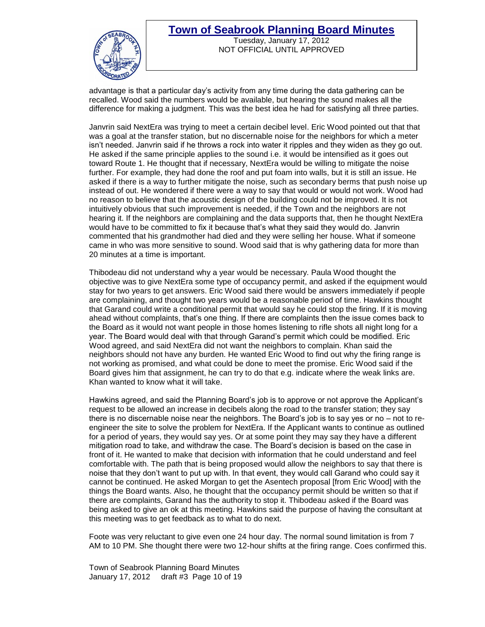

Tuesday, January 17, 2012 NOT OFFICIAL UNTIL APPROVED

advantage is that a particular day's activity from any time during the data gathering can be recalled. Wood said the numbers would be available, but hearing the sound makes all the difference for making a judgment. This was the best idea he had for satisfying all three parties.

Janvrin said NextEra was trying to meet a certain decibel level. Eric Wood pointed out that that was a goal at the transfer station, but no discernable noise for the neighbors for which a meter isn't needed. Janvrin said if he throws a rock into water it ripples and they widen as they go out. He asked if the same principle applies to the sound i.e. it would be intensified as it goes out toward Route 1. He thought that if necessary, NextEra would be willing to mitigate the noise further. For example, they had done the roof and put foam into walls, but it is still an issue. He asked if there is a way to further mitigate the noise, such as secondary berms that push noise up instead of out. He wondered if there were a way to say that would or would not work. Wood had no reason to believe that the acoustic design of the building could not be improved. It is not intuitively obvious that such improvement is needed, if the Town and the neighbors are not hearing it. If the neighbors are complaining and the data supports that, then he thought NextEra would have to be committed to fix it because that's what they said they would do. Janvrin commented that his grandmother had died and they were selling her house. What if someone came in who was more sensitive to sound. Wood said that is why gathering data for more than 20 minutes at a time is important.

Thibodeau did not understand why a year would be necessary. Paula Wood thought the objective was to give NextEra some type of occupancy permit, and asked if the equipment would stay for two years to get answers. Eric Wood said there would be answers immediately if people are complaining, and thought two years would be a reasonable period of time. Hawkins thought that Garand could write a conditional permit that would say he could stop the firing. If it is moving ahead without complaints, that's one thing. If there are complaints then the issue comes back to the Board as it would not want people in those homes listening to rifle shots all night long for a year. The Board would deal with that through Garand's permit which could be modified. Eric Wood agreed, and said NextEra did not want the neighbors to complain. Khan said the neighbors should not have any burden. He wanted Eric Wood to find out why the firing range is not working as promised, and what could be done to meet the promise. Eric Wood said if the Board gives him that assignment, he can try to do that e.g. indicate where the weak links are. Khan wanted to know what it will take.

Hawkins agreed, and said the Planning Board's job is to approve or not approve the Applicant's request to be allowed an increase in decibels along the road to the transfer station; they say there is no discernable noise near the neighbors. The Board's job is to say yes or no – not to reengineer the site to solve the problem for NextEra. If the Applicant wants to continue as outlined for a period of years, they would say yes. Or at some point they may say they have a different mitigation road to take, and withdraw the case. The Board's decision is based on the case in front of it. He wanted to make that decision with information that he could understand and feel comfortable with. The path that is being proposed would allow the neighbors to say that there is noise that they don't want to put up with. In that event, they would call Garand who could say it cannot be continued. He asked Morgan to get the Asentech proposal [from Eric Wood] with the things the Board wants. Also, he thought that the occupancy permit should be written so that if there are complaints, Garand has the authority to stop it. Thibodeau asked if the Board was being asked to give an ok at this meeting. Hawkins said the purpose of having the consultant at this meeting was to get feedback as to what to do next.

Foote was very reluctant to give even one 24 hour day. The normal sound limitation is from 7 AM to 10 PM. She thought there were two 12-hour shifts at the firing range. Coes confirmed this.

Town of Seabrook Planning Board Minutes January 17, 2012 draft #3 Page 10 of 19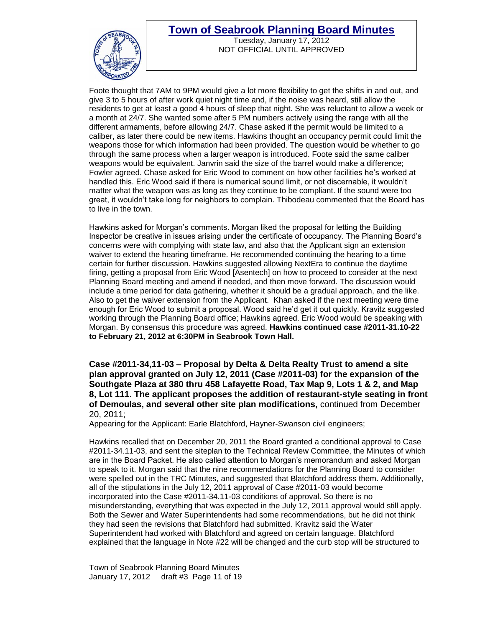

Tuesday, January 17, 2012 NOT OFFICIAL UNTIL APPROVED

Foote thought that 7AM to 9PM would give a lot more flexibility to get the shifts in and out, and give 3 to 5 hours of after work quiet night time and, if the noise was heard, still allow the residents to get at least a good 4 hours of sleep that night. She was reluctant to allow a week or a month at 24/7. She wanted some after 5 PM numbers actively using the range with all the different armaments, before allowing 24/7. Chase asked if the permit would be limited to a caliber, as later there could be new items. Hawkins thought an occupancy permit could limit the weapons those for which information had been provided. The question would be whether to go through the same process when a larger weapon is introduced. Foote said the same caliber weapons would be equivalent. Janvrin said the size of the barrel would make a difference; Fowler agreed. Chase asked for Eric Wood to comment on how other facilities he's worked at handled this. Eric Wood said if there is numerical sound limit, or not discernable, it wouldn't matter what the weapon was as long as they continue to be compliant. If the sound were too great, it wouldn't take long for neighbors to complain. Thibodeau commented that the Board has to live in the town.

Hawkins asked for Morgan's comments. Morgan liked the proposal for letting the Building Inspector be creative in issues arising under the certificate of occupancy. The Planning Board's concerns were with complying with state law, and also that the Applicant sign an extension waiver to extend the hearing timeframe. He recommended continuing the hearing to a time certain for further discussion. Hawkins suggested allowing NextEra to continue the daytime firing, getting a proposal from Eric Wood [Asentech] on how to proceed to consider at the next Planning Board meeting and amend if needed, and then move forward. The discussion would include a time period for data gathering, whether it should be a gradual approach, and the like. Also to get the waiver extension from the Applicant. Khan asked if the next meeting were time enough for Eric Wood to submit a proposal. Wood said he'd get it out quickly. Kravitz suggested working through the Planning Board office; Hawkins agreed. Eric Wood would be speaking with Morgan. By consensus this procedure was agreed. **Hawkins continued case #2011-31.10-22 to February 21, 2012 at 6:30PM in Seabrook Town Hall.**

**Case #2011-34,11-03 – Proposal by Delta & Delta Realty Trust to amend a site plan approval granted on July 12, 2011 (Case #2011-03) for the expansion of the Southgate Plaza at 380 thru 458 Lafayette Road, Tax Map 9, Lots 1 & 2, and Map 8, Lot 111. The applicant proposes the addition of restaurant-style seating in front of Demoulas, and several other site plan modifications,** continued from December 20, 2011;

Appearing for the Applicant: Earle Blatchford, Hayner-Swanson civil engineers;

Hawkins recalled that on December 20, 2011 the Board granted a conditional approval to Case #2011-34.11-03, and sent the siteplan to the Technical Review Committee, the Minutes of which are in the Board Packet. He also called attention to Morgan's memorandum and asked Morgan to speak to it. Morgan said that the nine recommendations for the Planning Board to consider were spelled out in the TRC Minutes, and suggested that Blatchford address them. Additionally, all of the stipulations in the July 12, 2011 approval of Case #2011-03 would become incorporated into the Case #2011-34.11-03 conditions of approval. So there is no misunderstanding, everything that was expected in the July 12, 2011 approval would still apply. Both the Sewer and Water Superintendents had some recommendations, but he did not think they had seen the revisions that Blatchford had submitted. Kravitz said the Water Superintendent had worked with Blatchford and agreed on certain language. Blatchford explained that the language in Note #22 will be changed and the curb stop will be structured to

Town of Seabrook Planning Board Minutes January 17, 2012 draft #3 Page 11 of 19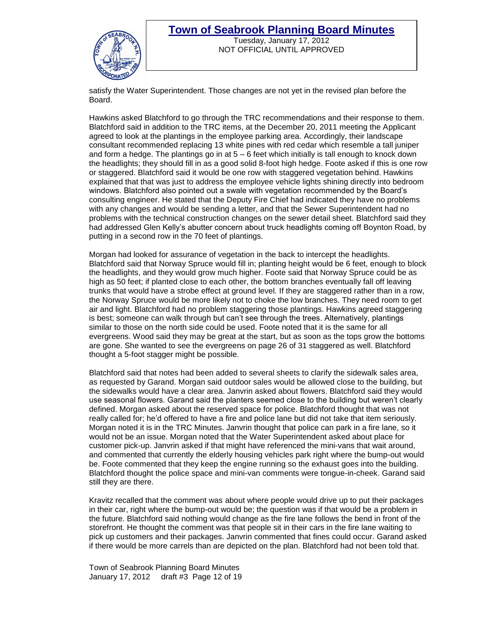

Tuesday, January 17, 2012 NOT OFFICIAL UNTIL APPROVED

satisfy the Water Superintendent. Those changes are not yet in the revised plan before the Board.

Hawkins asked Blatchford to go through the TRC recommendations and their response to them. Blatchford said in addition to the TRC items, at the December 20, 2011 meeting the Applicant agreed to look at the plantings in the employee parking area. Accordingly, their landscape consultant recommended replacing 13 white pines with red cedar which resemble a tall juniper and form a hedge. The plantings go in at  $5 - 6$  feet which initially is tall enough to knock down the headlights; they should fill in as a good solid 8-foot high hedge. Foote asked if this is one row or staggered. Blatchford said it would be one row with staggered vegetation behind. Hawkins explained that that was just to address the employee vehicle lights shining directly into bedroom windows. Blatchford also pointed out a swale with vegetation recommended by the Board's consulting engineer. He stated that the Deputy Fire Chief had indicated they have no problems with any changes and would be sending a letter, and that the Sewer Superintendent had no problems with the technical construction changes on the sewer detail sheet. Blatchford said they had addressed Glen Kelly's abutter concern about truck headlights coming off Boynton Road, by putting in a second row in the 70 feet of plantings.

Morgan had looked for assurance of vegetation in the back to intercept the headlights. Blatchford said that Norway Spruce would fill in; planting height would be 6 feet, enough to block the headlights, and they would grow much higher. Foote said that Norway Spruce could be as high as 50 feet; if planted close to each other, the bottom branches eventually fall off leaving trunks that would have a strobe effect at ground level. If they are staggered rather than in a row, the Norway Spruce would be more likely not to choke the low branches. They need room to get air and light. Blatchford had no problem staggering those plantings. Hawkins agreed staggering is best; someone can walk through but can't see through the trees. Alternatively, plantings similar to those on the north side could be used. Foote noted that it is the same for all evergreens. Wood said they may be great at the start, but as soon as the tops grow the bottoms are gone. She wanted to see the evergreens on page 26 of 31 staggered as well. Blatchford thought a 5-foot stagger might be possible.

Blatchford said that notes had been added to several sheets to clarify the sidewalk sales area, as requested by Garand. Morgan said outdoor sales would be allowed close to the building, but the sidewalks would have a clear area. Janvrin asked about flowers. Blatchford said they would use seasonal flowers. Garand said the planters seemed close to the building but weren't clearly defined. Morgan asked about the reserved space for police. Blatchford thought that was not really called for; he'd offered to have a fire and police lane but did not take that item seriously. Morgan noted it is in the TRC Minutes. Janvrin thought that police can park in a fire lane, so it would not be an issue. Morgan noted that the Water Superintendent asked about place for customer pick-up. Janvrin asked if that might have referenced the mini-vans that wait around, and commented that currently the elderly housing vehicles park right where the bump-out would be. Foote commented that they keep the engine running so the exhaust goes into the building. Blatchford thought the police space and mini-van comments were tongue-in-cheek. Garand said still they are there.

Kravitz recalled that the comment was about where people would drive up to put their packages in their car, right where the bump-out would be; the question was if that would be a problem in the future. Blatchford said nothing would change as the fire lane follows the bend in front of the storefront. He thought the comment was that people sit in their cars in the fire lane waiting to pick up customers and their packages. Janvrin commented that fines could occur. Garand asked if there would be more carrels than are depicted on the plan. Blatchford had not been told that.

Town of Seabrook Planning Board Minutes January 17, 2012 draft #3 Page 12 of 19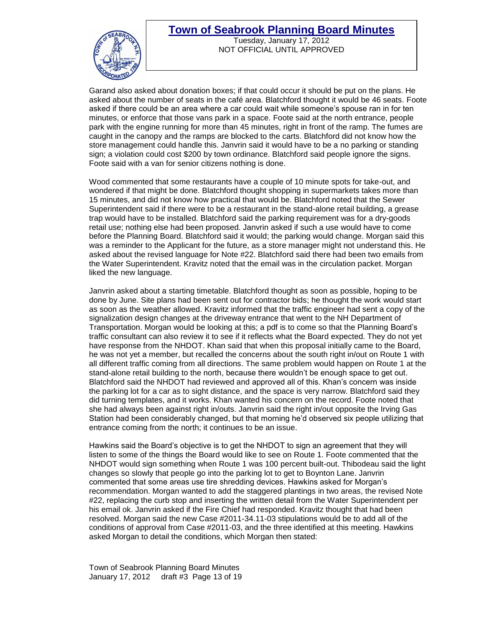

Tuesday, January 17, 2012 NOT OFFICIAL UNTIL APPROVED

Garand also asked about donation boxes; if that could occur it should be put on the plans. He asked about the number of seats in the café area. Blatchford thought it would be 46 seats. Foote asked if there could be an area where a car could wait while someone's spouse ran in for ten minutes, or enforce that those vans park in a space. Foote said at the north entrance, people park with the engine running for more than 45 minutes, right in front of the ramp. The fumes are caught in the canopy and the ramps are blocked to the carts. Blatchford did not know how the store management could handle this. Janvrin said it would have to be a no parking or standing sign; a violation could cost \$200 by town ordinance. Blatchford said people ignore the signs. Foote said with a van for senior citizens nothing is done.

Wood commented that some restaurants have a couple of 10 minute spots for take-out, and wondered if that might be done. Blatchford thought shopping in supermarkets takes more than 15 minutes, and did not know how practical that would be. Blatchford noted that the Sewer Superintendent said if there were to be a restaurant in the stand-alone retail building, a grease trap would have to be installed. Blatchford said the parking requirement was for a dry-goods retail use; nothing else had been proposed. Janvrin asked if such a use would have to come before the Planning Board. Blatchford said it would; the parking would change. Morgan said this was a reminder to the Applicant for the future, as a store manager might not understand this. He asked about the revised language for Note #22. Blatchford said there had been two emails from the Water Superintendent. Kravitz noted that the email was in the circulation packet. Morgan liked the new language.

Janvrin asked about a starting timetable. Blatchford thought as soon as possible, hoping to be done by June. Site plans had been sent out for contractor bids; he thought the work would start as soon as the weather allowed. Kravitz informed that the traffic engineer had sent a copy of the signalization design changes at the driveway entrance that went to the NH Department of Transportation. Morgan would be looking at this; a pdf is to come so that the Planning Board's traffic consultant can also review it to see if it reflects what the Board expected. They do not yet have response from the NHDOT. Khan said that when this proposal initially came to the Board, he was not yet a member, but recalled the concerns about the south right in/out on Route 1 with all different traffic coming from all directions. The same problem would happen on Route 1 at the stand-alone retail building to the north, because there wouldn't be enough space to get out. Blatchford said the NHDOT had reviewed and approved all of this. Khan's concern was inside the parking lot for a car as to sight distance, and the space is very narrow. Blatchford said they did turning templates, and it works. Khan wanted his concern on the record. Foote noted that she had always been against right in/outs. Janvrin said the right in/out opposite the Irving Gas Station had been considerably changed, but that morning he'd observed six people utilizing that entrance coming from the north; it continues to be an issue.

Hawkins said the Board's objective is to get the NHDOT to sign an agreement that they will listen to some of the things the Board would like to see on Route 1. Foote commented that the NHDOT would sign something when Route 1 was 100 percent built-out. Thibodeau said the light changes so slowly that people go into the parking lot to get to Boynton Lane. Janvrin commented that some areas use tire shredding devices. Hawkins asked for Morgan's recommendation. Morgan wanted to add the staggered plantings in two areas, the revised Note #22, replacing the curb stop and inserting the written detail from the Water Superintendent per his email ok. Janvrin asked if the Fire Chief had responded. Kravitz thought that had been resolved. Morgan said the new Case #2011-34.11-03 stipulations would be to add all of the conditions of approval from Case #2011-03, and the three identified at this meeting. Hawkins asked Morgan to detail the conditions, which Morgan then stated:

Town of Seabrook Planning Board Minutes January 17, 2012 draft #3 Page 13 of 19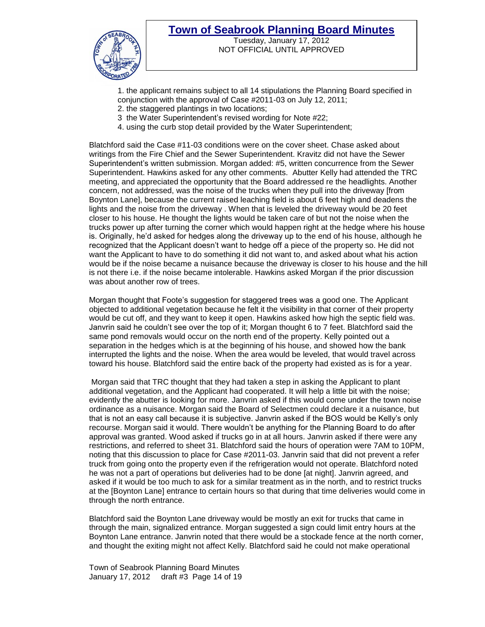

Tuesday, January 17, 2012 NOT OFFICIAL UNTIL APPROVED

1. the applicant remains subject to all 14 stipulations the Planning Board specified in conjunction with the approval of Case #2011-03 on July 12, 2011;

- 2. the staggered plantings in two locations;
- 3 the Water Superintendent's revised wording for Note #22;
- 4. using the curb stop detail provided by the Water Superintendent;

Blatchford said the Case #11-03 conditions were on the cover sheet. Chase asked about writings from the Fire Chief and the Sewer Superintendent. Kravitz did not have the Sewer Superintendent's written submission. Morgan added: #5, written concurrence from the Sewer Superintendent. Hawkins asked for any other comments. Abutter Kelly had attended the TRC meeting, and appreciated the opportunity that the Board addressed re the headlights. Another concern, not addressed, was the noise of the trucks when they pull into the driveway [from Boynton Lane], because the current raised leaching field is about 6 feet high and deadens the lights and the noise from the driveway . When that is leveled the driveway would be 20 feet closer to his house. He thought the lights would be taken care of but not the noise when the trucks power up after turning the corner which would happen right at the hedge where his house is. Originally, he'd asked for hedges along the driveway up to the end of his house, although he recognized that the Applicant doesn't want to hedge off a piece of the property so. He did not want the Applicant to have to do something it did not want to, and asked about what his action would be if the noise became a nuisance because the driveway is closer to his house and the hill is not there i.e. if the noise became intolerable. Hawkins asked Morgan if the prior discussion was about another row of trees.

Morgan thought that Foote's suggestion for staggered trees was a good one. The Applicant objected to additional vegetation because he felt it the visibility in that corner of their property would be cut off, and they want to keep it open. Hawkins asked how high the septic field was. Janvrin said he couldn't see over the top of it; Morgan thought 6 to 7 feet. Blatchford said the same pond removals would occur on the north end of the property. Kelly pointed out a separation in the hedges which is at the beginning of his house, and showed how the bank interrupted the lights and the noise. When the area would be leveled, that would travel across toward his house. Blatchford said the entire back of the property had existed as is for a year.

Morgan said that TRC thought that they had taken a step in asking the Applicant to plant additional vegetation, and the Applicant had cooperated. It will help a little bit with the noise; evidently the abutter is looking for more. Janvrin asked if this would come under the town noise ordinance as a nuisance. Morgan said the Board of Selectmen could declare it a nuisance, but that is not an easy call because it is subjective. Janvrin asked if the BOS would be Kelly's only recourse. Morgan said it would. There wouldn't be anything for the Planning Board to do after approval was granted. Wood asked if trucks go in at all hours. Janvrin asked if there were any restrictions, and referred to sheet 31. Blatchford said the hours of operation were 7AM to 10PM, noting that this discussion to place for Case #2011-03. Janvrin said that did not prevent a refer truck from going onto the property even if the refrigeration would not operate. Blatchford noted he was not a part of operations but deliveries had to be done [at night]. Janvrin agreed, and asked if it would be too much to ask for a similar treatment as in the north, and to restrict trucks at the [Boynton Lane] entrance to certain hours so that during that time deliveries would come in through the north entrance.

Blatchford said the Boynton Lane driveway would be mostly an exit for trucks that came in through the main, signalized entrance. Morgan suggested a sign could limit entry hours at the Boynton Lane entrance. Janvrin noted that there would be a stockade fence at the north corner, and thought the exiting might not affect Kelly. Blatchford said he could not make operational

Town of Seabrook Planning Board Minutes January 17, 2012 draft #3 Page 14 of 19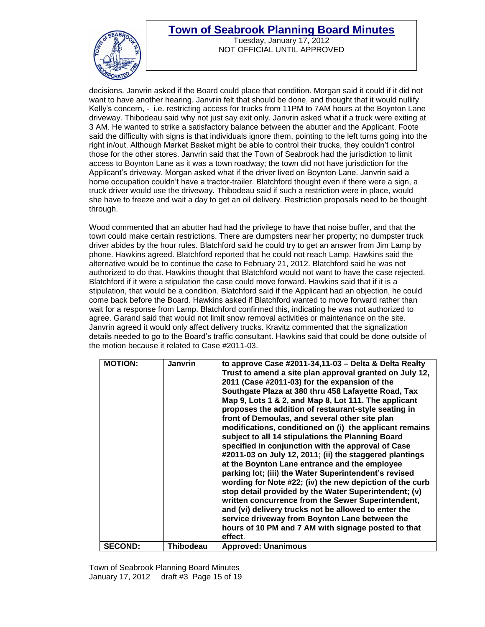

Tuesday, January 17, 2012 NOT OFFICIAL UNTIL APPROVED

decisions. Janvrin asked if the Board could place that condition. Morgan said it could if it did not want to have another hearing. Janvrin felt that should be done, and thought that it would nullify Kelly's concern, - i.e. restricting access for trucks from 11PM to 7AM hours at the Boynton Lane driveway. Thibodeau said why not just say exit only. Janvrin asked what if a truck were exiting at 3 AM. He wanted to strike a satisfactory balance between the abutter and the Applicant. Foote said the difficulty with signs is that individuals ignore them, pointing to the left turns going into the right in/out. Although Market Basket might be able to control their trucks, they couldn't control those for the other stores. Janvrin said that the Town of Seabrook had the jurisdiction to limit access to Boynton Lane as it was a town roadway; the town did not have jurisdiction for the Applicant's driveway. Morgan asked what if the driver lived on Boynton Lane. Janvrin said a home occupation couldn't have a tractor-trailer. Blatchford thought even if there were a sign, a truck driver would use the driveway. Thibodeau said if such a restriction were in place, would she have to freeze and wait a day to get an oil delivery. Restriction proposals need to be thought through.

Wood commented that an abutter had had the privilege to have that noise buffer, and that the town could make certain restrictions. There are dumpsters near her property; no dumpster truck driver abides by the hour rules. Blatchford said he could try to get an answer from Jim Lamp by phone. Hawkins agreed. Blatchford reported that he could not reach Lamp. Hawkins said the alternative would be to continue the case to February 21, 2012. Blatchford said he was not authorized to do that. Hawkins thought that Blatchford would not want to have the case rejected. Blatchford if it were a stipulation the case could move forward. Hawkins said that if it is a stipulation, that would be a condition. Blatchford said if the Applicant had an objection, he could come back before the Board. Hawkins asked if Blatchford wanted to move forward rather than wait for a response from Lamp. Blatchford confirmed this, indicating he was not authorized to agree. Garand said that would not limit snow removal activities or maintenance on the site. Janvrin agreed it would only affect delivery trucks. Kravitz commented that the signalization details needed to go to the Board's traffic consultant. Hawkins said that could be done outside of the motion because it related to Case #2011-03.

| <b>MOTION:</b> | <b>Janvrin</b> | to approve Case #2011-34,11-03 - Delta & Delta Realty<br>Trust to amend a site plan approval granted on July 12,<br>2011 (Case #2011-03) for the expansion of the<br>Southgate Plaza at 380 thru 458 Lafayette Road, Tax<br>Map 9, Lots 1 & 2, and Map 8, Lot 111. The applicant<br>proposes the addition of restaurant-style seating in<br>front of Demoulas, and several other site plan<br>modifications, conditioned on (i) the applicant remains<br>subject to all 14 stipulations the Planning Board<br>specified in conjunction with the approval of Case<br>#2011-03 on July 12, 2011; (ii) the staggered plantings<br>at the Boynton Lane entrance and the employee<br>parking lot; (iii) the Water Superintendent's revised<br>wording for Note #22; (iv) the new depiction of the curb<br>stop detail provided by the Water Superintendent; (v)<br>written concurrence from the Sewer Superintendent,<br>and (vi) delivery trucks not be allowed to enter the<br>service driveway from Boynton Lane between the<br>hours of 10 PM and 7 AM with signage posted to that<br>effect. |
|----------------|----------------|----------------------------------------------------------------------------------------------------------------------------------------------------------------------------------------------------------------------------------------------------------------------------------------------------------------------------------------------------------------------------------------------------------------------------------------------------------------------------------------------------------------------------------------------------------------------------------------------------------------------------------------------------------------------------------------------------------------------------------------------------------------------------------------------------------------------------------------------------------------------------------------------------------------------------------------------------------------------------------------------------------------------------------------------------------------------------------------------|
| <b>SECOND:</b> | Thibodeau      | <b>Approved: Unanimous</b>                                                                                                                                                                                                                                                                                                                                                                                                                                                                                                                                                                                                                                                                                                                                                                                                                                                                                                                                                                                                                                                                   |

Town of Seabrook Planning Board Minutes January 17, 2012 draft #3 Page 15 of 19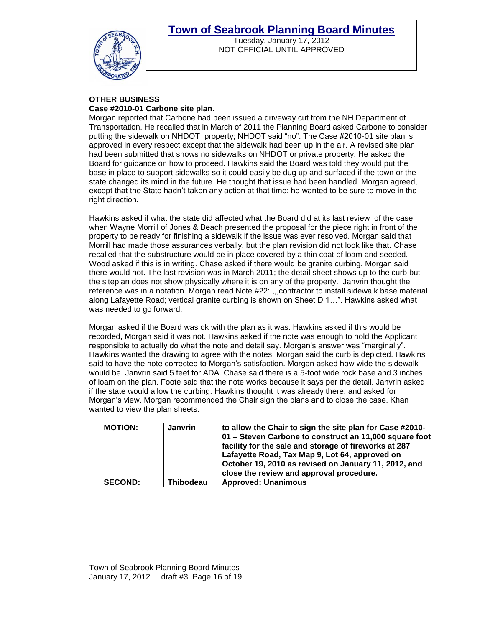

Tuesday, January 17, 2012 NOT OFFICIAL UNTIL APPROVED

# **OTHER BUSINESS**

### **Case #2010-01 Carbone site plan**.

Morgan reported that Carbone had been issued a driveway cut from the NH Department of Transportation. He recalled that in March of 2011 the Planning Board asked Carbone to consider putting the sidewalk on NHDOT property; NHDOT said "no". The Case #2010-01 site plan is approved in every respect except that the sidewalk had been up in the air. A revised site plan had been submitted that shows no sidewalks on NHDOT or private property. He asked the Board for guidance on how to proceed. Hawkins said the Board was told they would put the base in place to support sidewalks so it could easily be dug up and surfaced if the town or the state changed its mind in the future. He thought that issue had been handled. Morgan agreed, except that the State hadn't taken any action at that time; he wanted to be sure to move in the right direction.

Hawkins asked if what the state did affected what the Board did at its last review of the case when Wayne Morrill of Jones & Beach presented the proposal for the piece right in front of the property to be ready for finishing a sidewalk if the issue was ever resolved. Morgan said that Morrill had made those assurances verbally, but the plan revision did not look like that. Chase recalled that the substructure would be in place covered by a thin coat of loam and seeded. Wood asked if this is in writing. Chase asked if there would be granite curbing. Morgan said there would not. The last revision was in March 2011; the detail sheet shows up to the curb but the siteplan does not show physically where it is on any of the property. Janvrin thought the reference was in a notation. Morgan read Note #22: ,,,contractor to install sidewalk base material along Lafayette Road; vertical granite curbing is shown on Sheet D 1…". Hawkins asked what was needed to go forward.

Morgan asked if the Board was ok with the plan as it was. Hawkins asked if this would be recorded, Morgan said it was not. Hawkins asked if the note was enough to hold the Applicant responsible to actually do what the note and detail say. Morgan's answer was "marginally". Hawkins wanted the drawing to agree with the notes. Morgan said the curb is depicted. Hawkins said to have the note corrected to Morgan's satisfaction. Morgan asked how wide the sidewalk would be. Janvrin said 5 feet for ADA. Chase said there is a 5-foot wide rock base and 3 inches of loam on the plan. Foote said that the note works because it says per the detail. Janvrin asked if the state would allow the curbing. Hawkins thought it was already there, and asked for Morgan's view. Morgan recommended the Chair sign the plans and to close the case. Khan wanted to view the plan sheets.

| <b>MOTION:</b> | <b>Janvrin</b>   | to allow the Chair to sign the site plan for Case #2010-<br>01 - Steven Carbone to construct an 11,000 square foot<br>facility for the sale and storage of fireworks at 287<br>Lafayette Road, Tax Map 9, Lot 64, approved on<br>October 19, 2010 as revised on January 11, 2012, and<br>close the review and approval procedure. |
|----------------|------------------|-----------------------------------------------------------------------------------------------------------------------------------------------------------------------------------------------------------------------------------------------------------------------------------------------------------------------------------|
| <b>SECOND:</b> | <b>Thibodeau</b> | <b>Approved: Unanimous</b>                                                                                                                                                                                                                                                                                                        |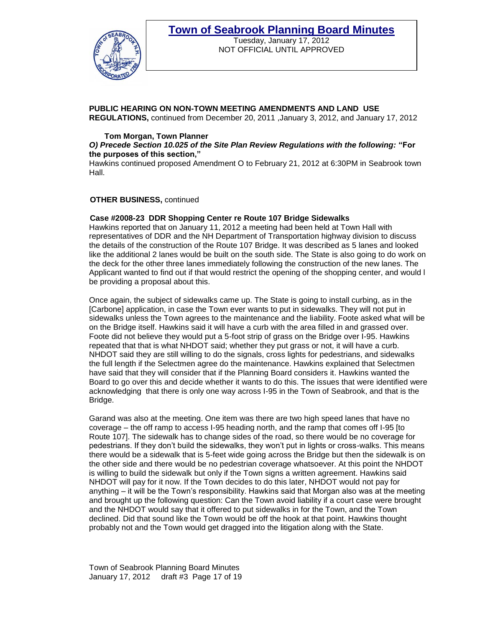

Tuesday, January 17, 2012 NOT OFFICIAL UNTIL APPROVED

#### **PUBLIC HEARING ON NON-TOWN MEETING AMENDMENTS AND LAND USE REGULATIONS,** continued from December 20, 2011 ,January 3, 2012, and January 17, 2012

#### **Tom Morgan, Town Planner**

#### *O) Precede Section 10.025 of the Site Plan Review Regulations with the following:* **"For the purposes of this section,"**

Hawkins continued proposed Amendment O to February 21, 2012 at 6:30PM in Seabrook town Hall.

#### **OTHER BUSINESS,** continued

### **Case #2008-23 DDR Shopping Center re Route 107 Bridge Sidewalks**

Hawkins reported that on January 11, 2012 a meeting had been held at Town Hall with representatives of DDR and the NH Department of Transportation highway division to discuss the details of the construction of the Route 107 Bridge. It was described as 5 lanes and looked like the additional 2 lanes would be built on the south side. The State is also going to do work on the deck for the other three lanes immediately following the construction of the new lanes. The Applicant wanted to find out if that would restrict the opening of the shopping center, and would l be providing a proposal about this.

Once again, the subject of sidewalks came up. The State is going to install curbing, as in the [Carbone] application, in case the Town ever wants to put in sidewalks. They will not put in sidewalks unless the Town agrees to the maintenance and the liability. Foote asked what will be on the Bridge itself. Hawkins said it will have a curb with the area filled in and grassed over. Foote did not believe they would put a 5-foot strip of grass on the Bridge over I-95. Hawkins repeated that that is what NHDOT said; whether they put grass or not, it will have a curb. NHDOT said they are still willing to do the signals, cross lights for pedestrians, and sidewalks the full length if the Selectmen agree do the maintenance. Hawkins explained that Selectmen have said that they will consider that if the Planning Board considers it. Hawkins wanted the Board to go over this and decide whether it wants to do this. The issues that were identified were acknowledging that there is only one way across I-95 in the Town of Seabrook, and that is the Bridge.

Garand was also at the meeting. One item was there are two high speed lanes that have no coverage – the off ramp to access I-95 heading north, and the ramp that comes off I-95 [to Route 107]. The sidewalk has to change sides of the road, so there would be no coverage for pedestrians. If they don't build the sidewalks, they won't put in lights or cross-walks. This means there would be a sidewalk that is 5-feet wide going across the Bridge but then the sidewalk is on the other side and there would be no pedestrian coverage whatsoever. At this point the NHDOT is willing to build the sidewalk but only if the Town signs a written agreement. Hawkins said NHDOT will pay for it now. If the Town decides to do this later, NHDOT would not pay for anything – it will be the Town's responsibility. Hawkins said that Morgan also was at the meeting and brought up the following question: Can the Town avoid liability if a court case were brought and the NHDOT would say that it offered to put sidewalks in for the Town, and the Town declined. Did that sound like the Town would be off the hook at that point. Hawkins thought probably not and the Town would get dragged into the litigation along with the State.

Town of Seabrook Planning Board Minutes January 17, 2012 draft #3 Page 17 of 19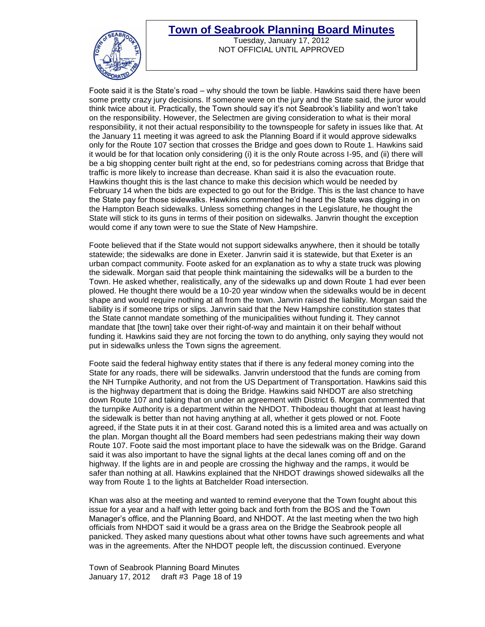

Tuesday, January 17, 2012 NOT OFFICIAL UNTIL APPROVED

Foote said it is the State's road – why should the town be liable. Hawkins said there have been some pretty crazy jury decisions. If someone were on the jury and the State said, the juror would think twice about it. Practically, the Town should say it's not Seabrook's liability and won't take on the responsibility. However, the Selectmen are giving consideration to what is their moral responsibility, it not their actual responsibility to the townspeople for safety in issues like that. At the January 11 meeting it was agreed to ask the Planning Board if it would approve sidewalks only for the Route 107 section that crosses the Bridge and goes down to Route 1. Hawkins said it would be for that location only considering (i) it is the only Route across I-95, and (ii) there will be a big shopping center built right at the end, so for pedestrians coming across that Bridge that traffic is more likely to increase than decrease. Khan said it is also the evacuation route. Hawkins thought this is the last chance to make this decision which would be needed by February 14 when the bids are expected to go out for the Bridge. This is the last chance to have the State pay for those sidewalks. Hawkins commented he'd heard the State was digging in on the Hampton Beach sidewalks. Unless something changes in the Legislature, he thought the State will stick to its guns in terms of their position on sidewalks. Janvrin thought the exception would come if any town were to sue the State of New Hampshire.

Foote believed that if the State would not support sidewalks anywhere, then it should be totally statewide; the sidewalks are done in Exeter. Janvrin said it is statewide, but that Exeter is an urban compact community. Foote asked for an explanation as to why a state truck was plowing the sidewalk. Morgan said that people think maintaining the sidewalks will be a burden to the Town. He asked whether, realistically, any of the sidewalks up and down Route 1 had ever been plowed. He thought there would be a 10-20 year window when the sidewalks would be in decent shape and would require nothing at all from the town. Janvrin raised the liability. Morgan said the liability is if someone trips or slips. Janvrin said that the New Hampshire constitution states that the State cannot mandate something of the municipalities without funding it. They cannot mandate that [the town] take over their right-of-way and maintain it on their behalf without funding it. Hawkins said they are not forcing the town to do anything, only saying they would not put in sidewalks unless the Town signs the agreement.

Foote said the federal highway entity states that if there is any federal money coming into the State for any roads, there will be sidewalks. Janvrin understood that the funds are coming from the NH Turnpike Authority, and not from the US Department of Transportation. Hawkins said this is the highway department that is doing the Bridge. Hawkins said NHDOT are also stretching down Route 107 and taking that on under an agreement with District 6. Morgan commented that the turnpike Authority is a department within the NHDOT. Thibodeau thought that at least having the sidewalk is better than not having anything at all, whether it gets plowed or not. Foote agreed, if the State puts it in at their cost. Garand noted this is a limited area and was actually on the plan. Morgan thought all the Board members had seen pedestrians making their way down Route 107. Foote said the most important place to have the sidewalk was on the Bridge. Garand said it was also important to have the signal lights at the decal lanes coming off and on the highway. If the lights are in and people are crossing the highway and the ramps, it would be safer than nothing at all. Hawkins explained that the NHDOT drawings showed sidewalks all the way from Route 1 to the lights at Batchelder Road intersection.

Khan was also at the meeting and wanted to remind everyone that the Town fought about this issue for a year and a half with letter going back and forth from the BOS and the Town Manager's office, and the Planning Board, and NHDOT. At the last meeting when the two high officials from NHDOT said it would be a grass area on the Bridge the Seabrook people all panicked. They asked many questions about what other towns have such agreements and what was in the agreements. After the NHDOT people left, the discussion continued. Everyone

Town of Seabrook Planning Board Minutes January 17, 2012 draft #3 Page 18 of 19